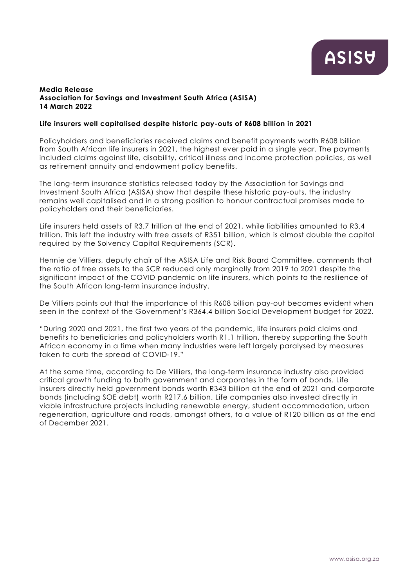## **Media Release Association for Savings and Investment South Africa (ASISA) 14 March 2022**

## **Life insurers well capitalised despite historic pay-outs of R608 billion in 2021**

Policyholders and beneficiaries received claims and benefit payments worth R608 billion from South African life insurers in 2021, the highest ever paid in a single year. The payments included claims against life, disability, critical illness and income protection policies, as well as retirement annuity and endowment policy benefits.

The long-term insurance statistics released today by the Association for Savings and Investment South Africa (ASISA) show that despite these historic pay-outs, the industry remains well capitalised and in a strong position to honour contractual promises made to policyholders and their beneficiaries.

Life insurers held assets of R3.7 trillion at the end of 2021, while liabilities amounted to R3.4 trillion. This left the industry with free assets of R351 billion, which is almost double the capital required by the Solvency Capital Requirements (SCR).

Hennie de Villiers, deputy chair of the ASISA Life and Risk Board Committee, comments that the ratio of free assets to the SCR reduced only marginally from 2019 to 2021 despite the significant impact of the COVID pandemic on life insurers, which points to the resilience of the South African long-term insurance industry.

De Villiers points out that the importance of this R608 billion pay-out becomes evident when seen in the context of the Government's R364.4 billion Social Development budget for 2022.

"During 2020 and 2021, the first two years of the pandemic, life insurers paid claims and benefits to beneficiaries and policyholders worth R1.1 trillion, thereby supporting the South African economy in a time when many industries were left largely paralysed by measures taken to curb the spread of COVID-19."

At the same time, according to De Villiers, the long-term insurance industry also provided critical growth funding to both government and corporates in the form of bonds. Life insurers directly held government bonds worth R343 billion at the end of 2021 and corporate bonds (including SOE debt) worth R217.6 billion. Life companies also invested directly in viable infrastructure projects including renewable energy, student accommodation, urban regeneration, agriculture and roads, amongst others, to a value of R120 billion as at the end of December 2021.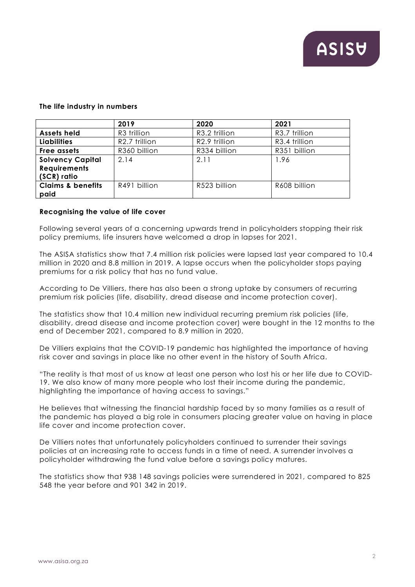## **The life industry in numbers**

|                              | 2019          | 2020          | 2021          |
|------------------------------|---------------|---------------|---------------|
| <b>Assets held</b>           | R3 trillion   | R3.2 trillion | R3.7 trillion |
| <b>Liabilities</b>           | R2.7 trillion | R2.9 trillion | R3.4 trillion |
| Free assets                  | R360 billion  | R334 billion  | R351 billion  |
| <b>Solvency Capital</b>      | 2.14          | 2.11          | 1.96          |
| <b>Requirements</b>          |               |               |               |
| (SCR) ratio                  |               |               |               |
| <b>Claims &amp; benefits</b> | R491 billion  | R523 billion  | R608 billion  |
| paid                         |               |               |               |

# **Recognising the value of life cover**

Following several years of a concerning upwards trend in policyholders stopping their risk policy premiums, life insurers have welcomed a drop in lapses for 2021.

The ASISA statistics show that 7.4 million risk policies were lapsed last year compared to 10.4 million in 2020 and 8.8 million in 2019. A lapse occurs when the policyholder stops paying premiums for a risk policy that has no fund value.

According to De Villiers, there has also been a strong uptake by consumers of recurring premium risk policies (life, disability, dread disease and income protection cover).

The statistics show that 10.4 million new individual recurring premium risk policies (life, disability, dread disease and income protection cover) were bought in the 12 months to the end of December 2021, compared to 8.9 million in 2020.

De Villiers explains that the COVID-19 pandemic has highlighted the importance of having risk cover and savings in place like no other event in the history of South Africa.

"The reality is that most of us know at least one person who lost his or her life due to COVID-19. We also know of many more people who lost their income during the pandemic, highlighting the importance of having access to savings."

He believes that witnessing the financial hardship faced by so many families as a result of the pandemic has played a big role in consumers placing greater value on having in place life cover and income protection cover.

De Villiers notes that unfortunately policyholders continued to surrender their savings policies at an increasing rate to access funds in a time of need. A surrender involves a policyholder withdrawing the fund value before a savings policy matures.

The statistics show that 938 148 savings policies were surrendered in 2021, compared to 825 548 the year before and 901 342 in 2019.